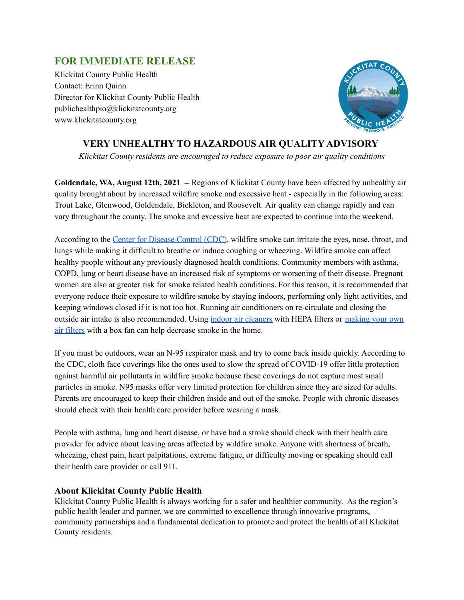## **FOR IMMEDIATE RELEASE**

Klickitat County Public Health Contact: Erinn Quinn Director for Klickitat County Public Health publichealthpio@klickitatcounty.org www.klickitatcounty.org



## **VERY UNHEALTHY TO HAZARDOUS AIR QUALITY ADVISORY**

*Klickitat County residents are encouraged to reduce exposure to poor air quality conditions*

**Goldendale, WA, August 12th, 2021 –** Regions of Klickitat County have been affected by unhealthy air quality brought about by increased wildfire smoke and excessive heat - especially in the following areas: Trout Lake, Glenwood, Goldendale, Bickleton, and Roosevelt. Air quality can change rapidly and can vary throughout the county. The smoke and excessive heat are expected to continue into the weekend.

According to the Center for [Disease](https://www.cdc.gov/disasters/wildfires/duringfire.html) Control (CDC), wildfire smoke can irritate the eyes, nose, throat, and lungs while making it difficult to breathe or induce coughing or wheezing. Wildfire smoke can affect healthy people without any previously diagnosed health conditions. Community members with asthma, COPD, lung or heart disease have an increased risk of symptoms or worsening of their disease. Pregnant women are also at greater risk for smoke related health conditions. For this reason, it is recommended that everyone reduce their exposure to wildfire smoke by staying indoors, performing only light activities, and keeping windows closed if it is not too hot. Running air conditioners on re-circulate and closing the outside air intake is also recommended. Using indoor air [cleaners](https://www.airnow.gov/sites/default/files/2021-06/indoor-air-filtration-factsheet_1.pdf) with HEPA filters or [making](https://youtu.be/ukyF2xm8cws) your own air [filters](https://youtu.be/ukyF2xm8cws) with a box fan can help decrease smoke in the home.

If you must be outdoors, wear an N-95 respirator mask and try to come back inside quickly. According to the CDC, cloth face coverings like the ones used to slow the spread of COVID-19 offer little protection against harmful air pollutants in wildfire smoke because these coverings do not capture most small particles in smoke. N95 masks offer very limited protection for children since they are sized for adults. Parents are encouraged to keep their children inside and out of the smoke. People with chronic diseases should check with their health care provider before wearing a mask.

People with asthma, lung and heart disease, or have had a stroke should check with their health care provider for advice about leaving areas affected by wildfire smoke. Anyone with shortness of breath, wheezing, chest pain, heart palpitations, extreme fatigue, or difficulty moving or speaking should call their health care provider or call 911.

## **About Klickitat County Public Health**

Klickitat County Public Health is always working for a safer and healthier community. As the region's public health leader and partner, we are committed to excellence through innovative programs, community partnerships and a fundamental dedication to promote and protect the health of all Klickitat County residents.